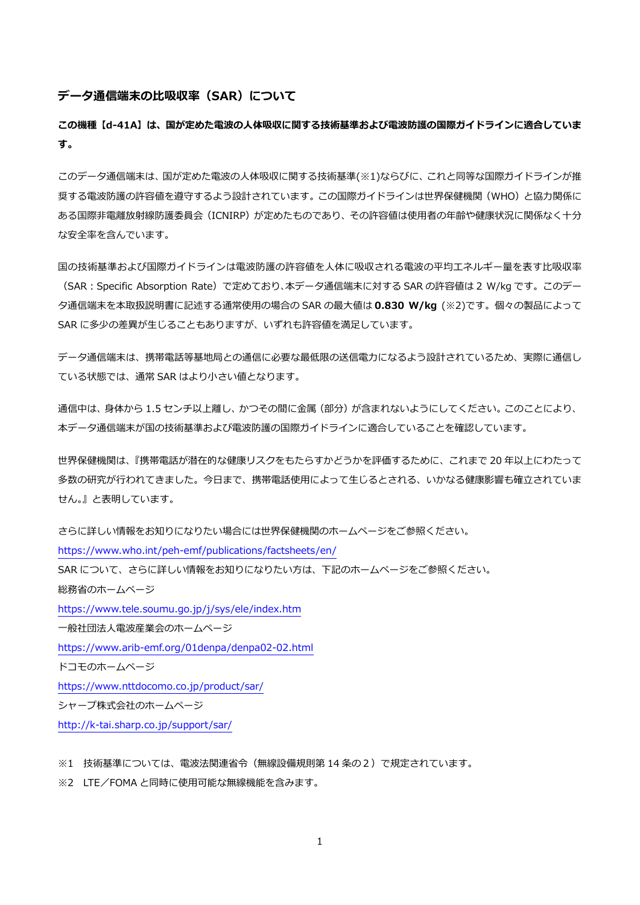#### **データ通信端末の⽐吸収率(SAR)について**

**この機種【d-41A】は、国が定めた電波の⼈体吸収に関する技術基準および電波防護の国際ガイドラインに適合していま す。** 

このデータ通信端末は、国が定めた電波の人体吸収に関する技術基準(※1)ならびに、これと同等な国際ガイドラインが推 奨する電波防護の許容値を遵守するよう設計されています。この国際ガイドラインは世界保健機関(WHO)と協力関係に ある国際非電離放射線防護委員会(ICNIRP)が定めたものであり、その許容値は使用者の年齢や健康状況に関係なく十分 な安全率を含んでいます。

国の技術基準および国際ガイドラインは電波防護の許容値を人体に吸収される電波の平均エネルギー量を表す比吸収率 (SAR︓Specific Absorption Rate)で定めており、本データ通信端末に対する SAR の許容値は 2 W/kg です。このデー タ通信端末を本取扱説明書に記述する通常使⽤の場合の SAR の最⼤値は **0.830 W/kg** (※2)です。個々の製品によって SAR に多少の差異が生じることもありますが、いずれも許容値を満足しています。

データ通信端末は、携帯電話等基地局との通信に必要な最低限の送信電⼒になるよう設計されているため、実際に通信し ている状態では、通常 SAR はより⼩さい値となります。

通信中は、身体から 1.5 センチ以上離し、かつその間に金属 (部分) が含まれないようにしてください。このことにより、 本データ通信端末が国の技術基準および電波防護の国際ガイドラインに適合していることを確認しています。

世界保健機関は、『携帯電話が潜在的な健康リスクをもたらすかどうかを評価するために、これまで 20 年以上にわたって 多数の研究が行われてきました。今日まで、携帯電話使用によって牛じるとされる、いかなる健康影響も確立されていま せん。』と表明しています。

さらに詳しい情報をお知りになりたい場合には世界保健機関のホームページをご参照ください。 https://www.who.int/peh-emf/publications/factsheets/en/ SAR について、さらに詳しい情報をお知りになりたい方は、下記のホームページをご参照ください。 総務省のホームページ https://www.tele.soumu.go.jp/j/sys/ele/index.htm ⼀般社団法⼈電波産業会のホームページ https://www.arib-emf.org/01denpa/denpa02-02.html ドコモのホームページ https://www.nttdocomo.co.jp/product/sar/ シャープ株式会社のホームページ http://k-tai.sharp.co.jp/support/sar/

※1 技術基準については、電波法関連省令(無線設備規則第 14 条の2)で規定されています。

※2 LTE/FOMA と同時に使用可能な無線機能を含みます。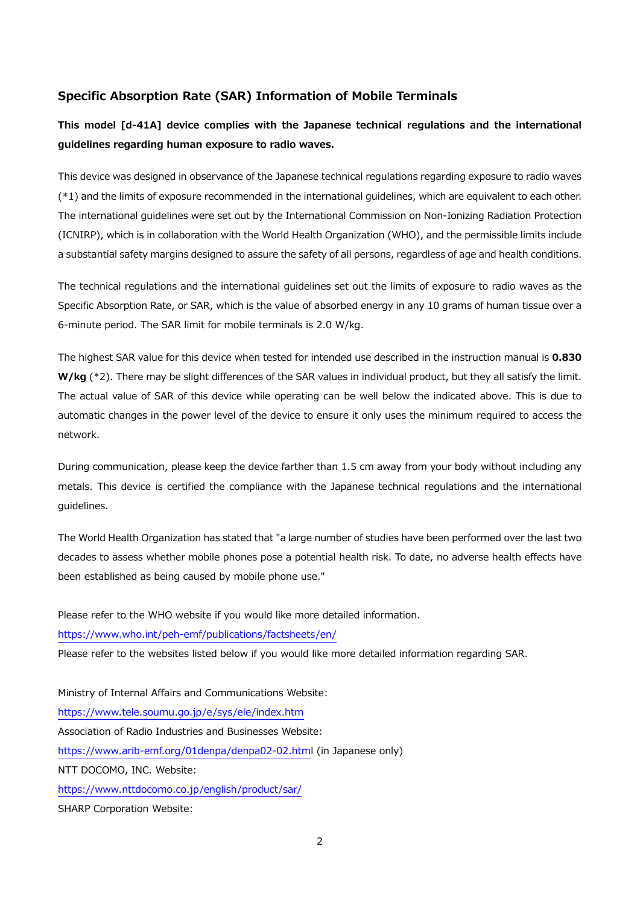# **Specific Absorption Rate (SAR) Information of Mobile Terminals**

# **This model [d-41A] device complies with the Japanese technical regulations and the international guidelines regarding human exposure to radio waves.**

This device was designed in observance of the Japanese technical regulations regarding exposure to radio waves (\*1) and the limits of exposure recommended in the international guidelines, which are equivalent to each other. The international guidelines were set out by the International Commission on Non-Ionizing Radiation Protection (ICNIRP), which is in collaboration with the World Health Organization (WHO), and the permissible limits include a substantial safety margins designed to assure the safety of all persons, regardless of age and health conditions.

The technical regulations and the international guidelines set out the limits of exposure to radio waves as the Specific Absorption Rate, or SAR, which is the value of absorbed energy in any 10 grams of human tissue over a 6-minute period. The SAR limit for mobile terminals is 2.0 W/kg.

The highest SAR value for this device when tested for intended use described in the instruction manual is **0.830 W/kg** (\*2). There may be slight differences of the SAR values in individual product, but they all satisfy the limit. The actual value of SAR of this device while operating can be well below the indicated above. This is due to automatic changes in the power level of the device to ensure it only uses the minimum required to access the network.

During communication, please keep the device farther than 1.5 cm away from your body without including any metals. This device is certified the compliance with the Japanese technical regulations and the international guidelines.

The World Health Organization has stated that "a large number of studies have been performed over the last two decades to assess whether mobile phones pose a potential health risk. To date, no adverse health effects have been established as being caused by mobile phone use."

Please refer to the WHO website if you would like more detailed information. https://www.who.int/peh-emf/publications/factsheets/en/ Please refer to the websites listed below if you would like more detailed information regarding SAR. Ministry of Internal Affairs and Communications Website: https://www.tele.soumu.go.jp/e/sys/ele/index.htm Association of Radio Industries and Businesses Website: https://www.arib-emf.org/01denpa/denpa02-02.html (in Japanese only) NTT DOCOMO, INC. Website: https://www.nttdocomo.co.jp/english/product/sar/ SHARP Corporation Website: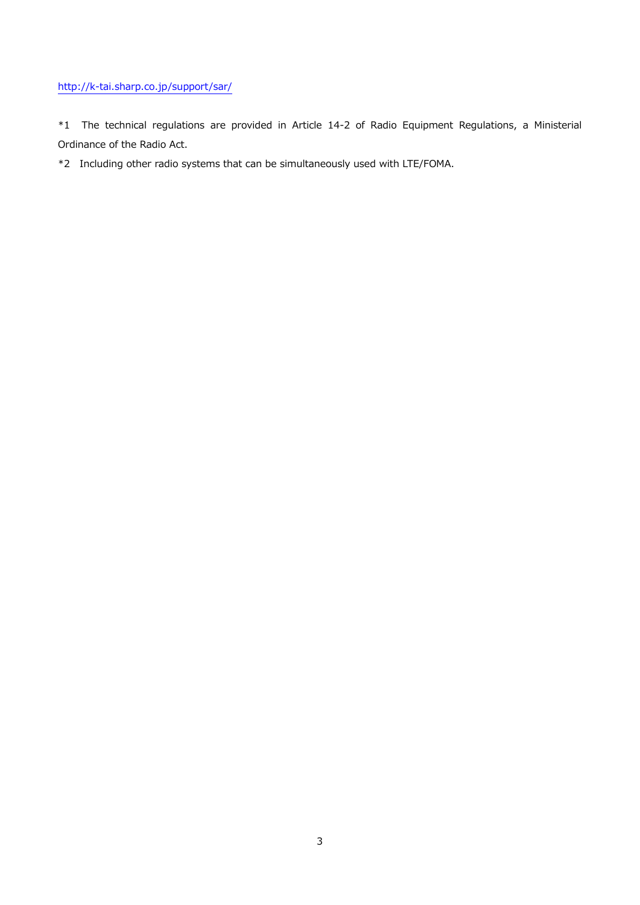## http://k-tai.sharp.co.jp/support/sar/

\*1 The technical regulations are provided in Article 14-2 of Radio Equipment Regulations, a Ministerial Ordinance of the Radio Act.

\*2 Including other radio systems that can be simultaneously used with LTE/FOMA.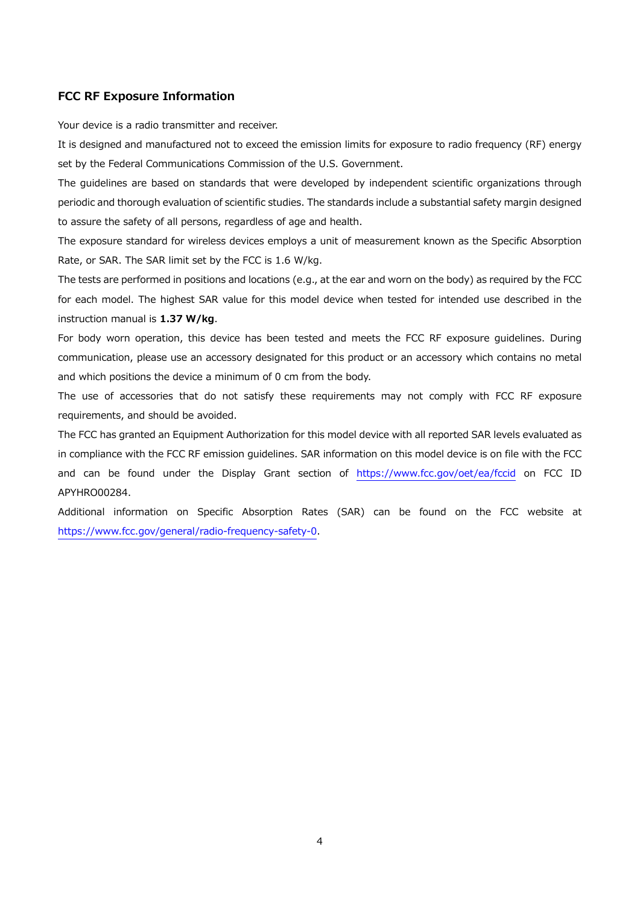#### **FCC RF Exposure Information**

Your device is a radio transmitter and receiver.

It is designed and manufactured not to exceed the emission limits for exposure to radio frequency (RF) energy set by the Federal Communications Commission of the U.S. Government.

The guidelines are based on standards that were developed by independent scientific organizations through periodic and thorough evaluation of scientific studies. The standards include a substantial safety margin designed to assure the safety of all persons, regardless of age and health.

The exposure standard for wireless devices employs a unit of measurement known as the Specific Absorption Rate, or SAR. The SAR limit set by the FCC is 1.6 W/kg.

The tests are performed in positions and locations (e.g., at the ear and worn on the body) as required by the FCC for each model. The highest SAR value for this model device when tested for intended use described in the instruction manual is **1.37 W/kg**.

For body worn operation, this device has been tested and meets the FCC RF exposure guidelines. During communication, please use an accessory designated for this product or an accessory which contains no metal and which positions the device a minimum of 0 cm from the body.

The use of accessories that do not satisfy these requirements may not comply with FCC RF exposure requirements, and should be avoided.

The FCC has granted an Equipment Authorization for this model device with all reported SAR levels evaluated as in compliance with the FCC RF emission guidelines. SAR information on this model device is on file with the FCC and can be found under the Display Grant section of https://www.fcc.gov/oet/ea/fccid on FCC ID APYHRO00284.

Additional information on Specific Absorption Rates (SAR) can be found on the FCC website at https://www.fcc.gov/general/radio-frequency-safety-0.